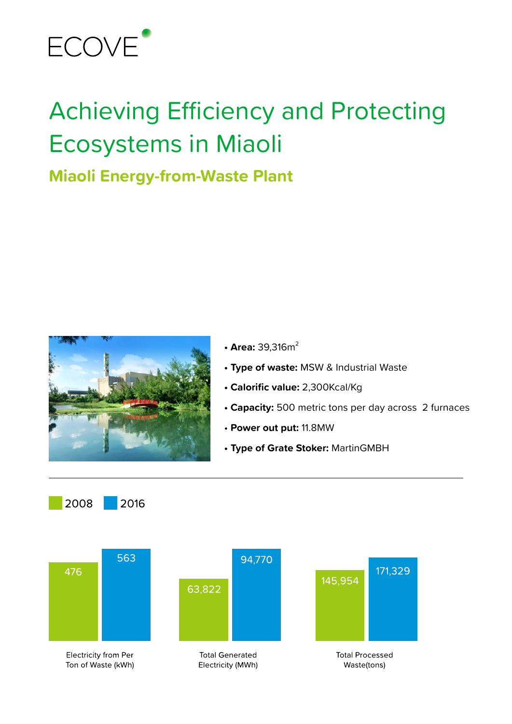

# Achieving Efficiency and Protecting Ecosystems in Miaoli

## **Miaoli Energy-from-Waste Plant**



- Area: 39.316m<sup>2</sup>
- **Type of waste:** MSW & Industrial Waste
- **Calorific value:** 2,300Kcal/Kg
- **Capacity:** 500 metric tons per day across 2 furnaces
- **Power out put:** 11.8MW
- **Type of Grate Stoker:** MartinGMBH



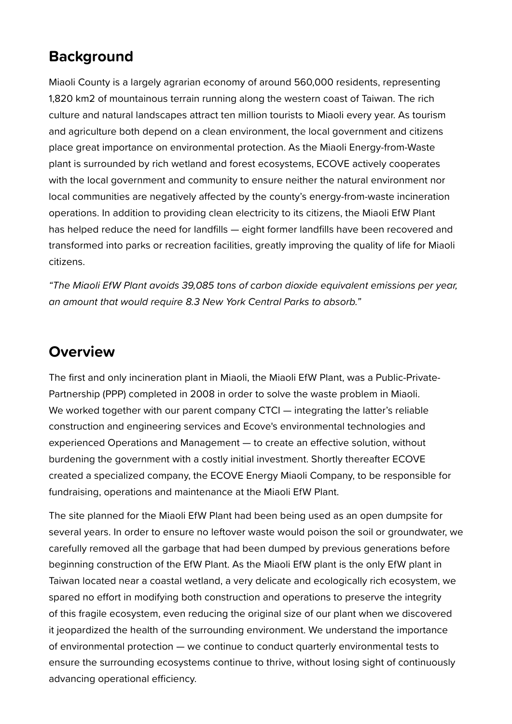## **Background**

Miaoli County is a largely agrarian economy of around 560,000 residents, representing 1,820 km2 of mountainous terrain running along the western coast of Taiwan. The rich culture and natural landscapes attract ten million tourists to Miaoli every year. As tourism and agriculture both depend on a clean environment, the local government and citizens place great importance on environmental protection. As the Miaoli Energy-from-Waste plant is surrounded by rich wetland and forest ecosystems, ECOVE actively cooperates with the local government and community to ensure neither the natural environment nor local communities are negatively affected by the county's energy-from-waste incineration operations. In addition to providing clean electricity to its citizens, the Miaoli EfW Plant has helped reduce the need for landfills — eight former landfills have been recovered and transformed into parks or recreation facilities, greatly improving the quality of life for Miaoli citizens.

*"The Miaoli EfW Plant avoids 39,085 tons of carbon dioxide equivalent emissions per year, an amount that would require 8.3 New York Central Parks to absorb."*

### **Overview**

The first and only incineration plant in Miaoli, the Miaoli EfW Plant, was a Public-Private-Partnership (PPP) completed in 2008 in order to solve the waste problem in Miaoli. We worked together with our parent company CTCI — integrating the latter's reliable construction and engineering services and Ecove's environmental technologies and experienced Operations and Management — to create an effective solution, without burdening the government with a costly initial investment. Shortly thereafter ECOVE created a specialized company, the ECOVE Energy Miaoli Company, to be responsible for fundraising, operations and maintenance at the Miaoli EfW Plant.

The site planned for the Miaoli EfW Plant had been being used as an open dumpsite for several years. In order to ensure no leftover waste would poison the soil or groundwater, we carefully removed all the garbage that had been dumped by previous generations before beginning construction of the EfW Plant. As the Miaoli EfW plant is the only EfW plant in Taiwan located near a coastal wetland, a very delicate and ecologically rich ecosystem, we spared no effort in modifying both construction and operations to preserve the integrity of this fragile ecosystem, even reducing the original size of our plant when we discovered it jeopardized the health of the surrounding environment. We understand the importance of environmental protection — we continue to conduct quarterly environmental tests to ensure the surrounding ecosystems continue to thrive, without losing sight of continuously advancing operational efficiency.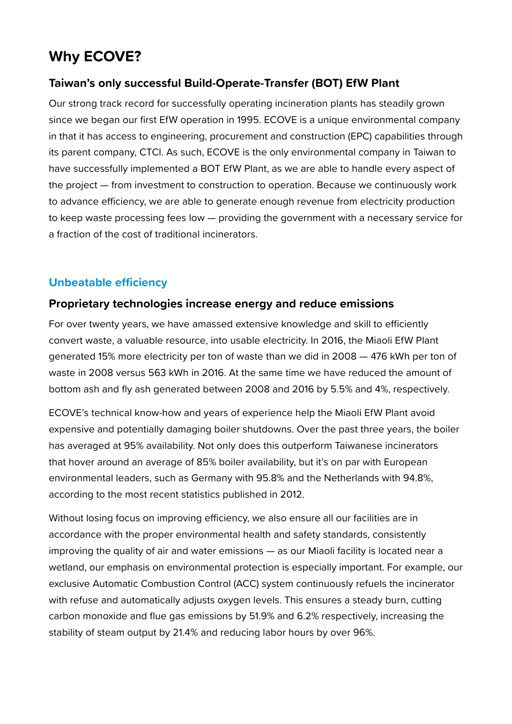## **Why ECOVE?**

#### **Taiwan's only successful Build-Operate-Transfer (BOT) EfW Plant**

Our strong track record for successfully operating incineration plants has steadily grown since we began our first EfW operation in 1995. ECOVE is a unique environmental company in that it has access to engineering, procurement and construction (EPC) capabilities through its parent company, CTCI. As such, ECOVE is the only environmental company in Taiwan to have successfully implemented a BOT EfW Plant, as we are able to handle every aspect of the project — from investment to construction to operation. Because we continuously work to advance efficiency, we are able to generate enough revenue from electricity production to keep waste processing fees low — providing the government with a necessary service for a fraction of the cost of traditional incinerators.

#### **Unbeatable efficiency**

#### **Proprietary technologies increase energy and reduce emissions**

For over twenty years, we have amassed extensive knowledge and skill to efficiently convert waste, a valuable resource, into usable electricity. In 2016, the Miaoli EfW Plant generated 15% more electricity per ton of waste than we did in 2008 — 476 kWh per ton of waste in 2008 versus 563 kWh in 2016. At the same time we have reduced the amount of bottom ash and fly ash generated between 2008 and 2016 by 5.5% and 4%, respectively.

ECOVE's technical know-how and years of experience help the Miaoli EfW Plant avoid expensive and potentially damaging boiler shutdowns. Over the past three years, the boiler has averaged at 95% availability. Not only does this outperform Taiwanese incinerators that hover around an average of 85% boiler availability, but it's on par with European environmental leaders, such as Germany with 95.8% and the Netherlands with 94.8%, according to the most recent statistics published in 2012.

Without losing focus on improving efficiency, we also ensure all our facilities are in accordance with the proper environmental health and safety standards, consistently improving the quality of air and water emissions — as our Miaoli facility is located near a wetland, our emphasis on environmental protection is especially important. For example, our exclusive Automatic Combustion Control (ACC) system continuously refuels the incinerator with refuse and automatically adjusts oxygen levels. This ensures a steady burn, cutting carbon monoxide and flue gas emissions by 51.9% and 6.2% respectively, increasing the stability of steam output by 21.4% and reducing labor hours by over 96%.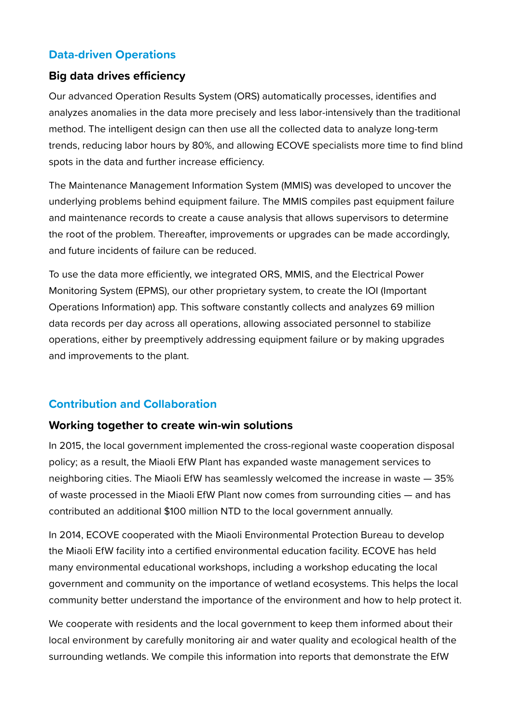#### **Data-driven Operations**

#### **Big data drives efficiency**

Our advanced Operation Results System (ORS) automatically processes, identifies and analyzes anomalies in the data more precisely and less labor-intensively than the traditional method. The intelligent design can then use all the collected data to analyze long-term trends, reducing labor hours by 80%, and allowing ECOVE specialists more time to find blind spots in the data and further increase efficiency.

The Maintenance Management Information System (MMIS) was developed to uncover the underlying problems behind equipment failure. The MMIS compiles past equipment failure and maintenance records to create a cause analysis that allows supervisors to determine the root of the problem. Thereafter, improvements or upgrades can be made accordingly, and future incidents of failure can be reduced.

To use the data more efficiently, we integrated ORS, MMIS, and the Electrical Power Monitoring System (EPMS), our other proprietary system, to create the IOI (Important Operations Information) app. This software constantly collects and analyzes 69 million data records per day across all operations, allowing associated personnel to stabilize operations, either by preemptively addressing equipment failure or by making upgrades and improvements to the plant.

#### **Contribution and Collaboration**

#### **Working together to create win-win solutions**

In 2015, the local government implemented the cross-regional waste cooperation disposal policy; as a result, the Miaoli EfW Plant has expanded waste management services to neighboring cities. The Miaoli EfW has seamlessly welcomed the increase in waste — 35% of waste processed in the Miaoli EfW Plant now comes from surrounding cities — and has contributed an additional \$100 million NTD to the local government annually.

In 2014, ECOVE cooperated with the Miaoli Environmental Protection Bureau to develop the Miaoli EfW facility into a certified environmental education facility. ECOVE has held many environmental educational workshops, including a workshop educating the local government and community on the importance of wetland ecosystems. This helps the local community better understand the importance of the environment and how to help protect it.

We cooperate with residents and the local government to keep them informed about their local environment by carefully monitoring air and water quality and ecological health of the surrounding wetlands. We compile this information into reports that demonstrate the EfW